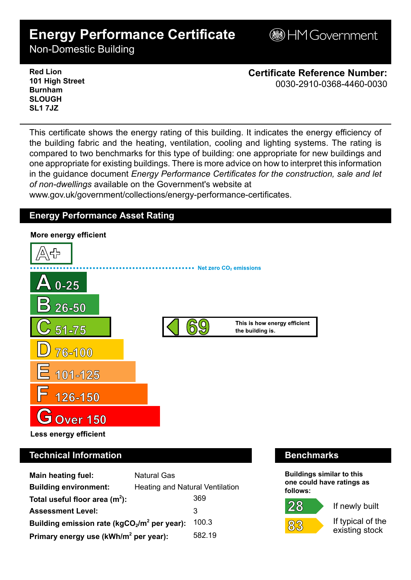# **Energy Performance Certificate**

**BHM Government** 

Non-Domestic Building

**Red Lion 101 High Street Burnham SLOUGH SL1 7JZ**

**Certificate Reference Number:** 0030-2910-0368-4460-0030

This certificate shows the energy rating of this building. It indicates the energy efficiency of the building fabric and the heating, ventilation, cooling and lighting systems. The rating is compared to two benchmarks for this type of building: one appropriate for new buildings and one appropriate for existing buildings. There is more advice on how to interpret this information in the guidance document *Energy Performance Certificates for the construction, sale and let of non-dwellings* available on the Government's website at

www.gov.uk/government/collections/energy-performance-certificates.

# **Energy Performance Asset Rating**



# **Technical Information Benchmarks**

| <b>Main heating fuel:</b>                         | <b>Natural Gas</b>                     |        |
|---------------------------------------------------|----------------------------------------|--------|
| <b>Building environment:</b>                      | <b>Heating and Natural Ventilation</b> |        |
| Total useful floor area $(m2)$ :                  |                                        | 369    |
| <b>Assessment Level:</b>                          |                                        | 3      |
| Building emission rate ( $kgCO2/m2$ per year):    |                                        | 100.3  |
| Primary energy use (kWh/m <sup>2</sup> per year): |                                        | 582.19 |

**Buildings similar to this one could have ratings as follows:**





 $83$ 

If typical of the

existing stock